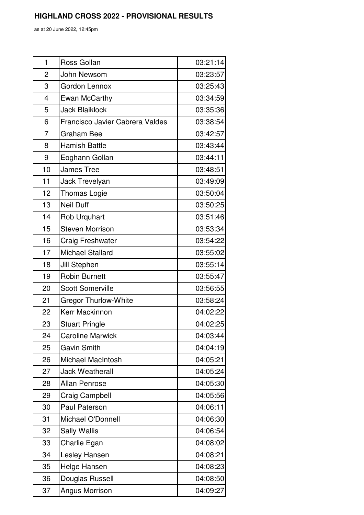as at 20 June 2022, 12:45pm

| 1              | Ross Gollan                     | 03:21:14 |
|----------------|---------------------------------|----------|
| $\overline{2}$ | John Newsom                     | 03:23:57 |
| 3              | Gordon Lennox                   | 03:25:43 |
| 4              | Ewan McCarthy                   | 03:34:59 |
| 5              | <b>Jack Blaiklock</b>           | 03:35:36 |
| 6              | Francisco Javier Cabrera Valdes | 03:38:54 |
| 7              | <b>Graham Bee</b>               | 03:42:57 |
| 8              | <b>Hamish Battle</b>            | 03:43:44 |
| 9              | Eoghann Gollan                  | 03:44:11 |
| 10             | <b>James Tree</b>               | 03:48:51 |
| 11             | Jack Trevelyan                  | 03:49:09 |
| 12             | <b>Thomas Logie</b>             | 03:50:04 |
| 13             | <b>Neil Duff</b>                | 03:50:25 |
| 14             | Rob Urquhart                    | 03:51:46 |
| 15             | <b>Steven Morrison</b>          | 03:53:34 |
| 16             | <b>Craig Freshwater</b>         | 03:54:22 |
| 17             | <b>Michael Stallard</b>         | 03:55:02 |
| 18             | Jill Stephen                    | 03:55:14 |
| 19             | <b>Robin Burnett</b>            | 03:55:47 |
| 20             | <b>Scott Somerville</b>         | 03:56:55 |
| 21             | <b>Gregor Thurlow-White</b>     | 03:58:24 |
| 22             | Kerr Mackinnon                  | 04:02:22 |
| 23             | <b>Stuart Pringle</b>           | 04:02:25 |
| 24             | <b>Caroline Marwick</b>         | 04:03:44 |
| 25             | <b>Gavin Smith</b>              | 04:04:19 |
| 26             | <b>Michael MacIntosh</b>        | 04:05:21 |
| 27             | <b>Jack Weatherall</b>          | 04:05:24 |
| 28             | <b>Allan Penrose</b>            | 04:05:30 |
| 29             | Craig Campbell                  | 04:05:56 |
| 30             | Paul Paterson                   | 04:06:11 |
| 31             | Michael O'Donnell               | 04:06:30 |
| 32             | <b>Sally Wallis</b>             | 04:06:54 |
| 33             | Charlie Egan                    | 04:08:02 |
| 34             | Lesley Hansen                   | 04:08:21 |
| 35             | Helge Hansen                    | 04:08:23 |
| 36             | Douglas Russell                 | 04:08:50 |
| 37             | Angus Morrison                  | 04:09:27 |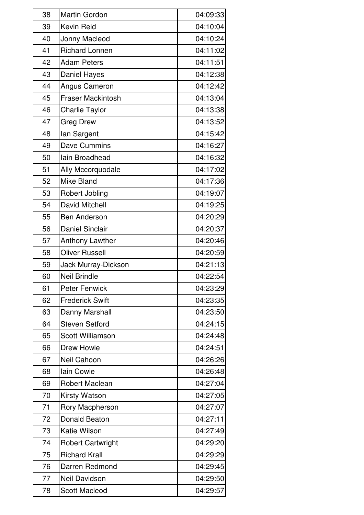| 38 | <b>Martin Gordon</b>     | 04:09:33 |
|----|--------------------------|----------|
| 39 | Kevin Reid               | 04:10:04 |
| 40 | Jonny Macleod            | 04:10:24 |
| 41 | <b>Richard Lonnen</b>    | 04:11:02 |
| 42 | <b>Adam Peters</b>       | 04:11:51 |
| 43 | Daniel Hayes             | 04:12:38 |
| 44 | <b>Angus Cameron</b>     | 04:12:42 |
| 45 | <b>Fraser Mackintosh</b> | 04:13:04 |
| 46 | <b>Charlie Taylor</b>    | 04:13:38 |
| 47 | <b>Greg Drew</b>         | 04:13:52 |
| 48 | lan Sargent              | 04:15:42 |
| 49 | <b>Dave Cummins</b>      | 04:16:27 |
| 50 | lain Broadhead           | 04:16:32 |
| 51 | Ally Mccorquodale        | 04:17:02 |
| 52 | Mike Bland               | 04:17:36 |
| 53 | Robert Jobling           | 04:19:07 |
| 54 | <b>David Mitchell</b>    | 04:19:25 |
| 55 | <b>Ben Anderson</b>      | 04:20:29 |
| 56 | <b>Daniel Sinclair</b>   | 04:20:37 |
| 57 | Anthony Lawther          | 04:20:46 |
| 58 | <b>Oliver Russell</b>    | 04:20:59 |
| 59 | Jack Murray-Dickson      | 04:21:13 |
| 60 | <b>Neil Brindle</b>      | 04:22:54 |
| 61 | <b>Peter Fenwick</b>     | 04:23:29 |
| 62 | <b>Frederick Swift</b>   | 04:23:35 |
| 63 | Danny Marshall           | 04:23:50 |
| 64 | <b>Steven Setford</b>    | 04:24:15 |
| 65 | <b>Scott Williamson</b>  | 04:24:48 |
| 66 | <b>Drew Howie</b>        | 04:24:51 |
| 67 | Neil Cahoon              | 04:26:26 |
| 68 | Iain Cowie               | 04:26:48 |
| 69 | <b>Robert Maclean</b>    | 04:27:04 |
| 70 | Kirsty Watson            | 04:27:05 |
| 71 | Rory Macpherson          | 04:27:07 |
| 72 | <b>Donald Beaton</b>     | 04:27:11 |
| 73 | <b>Katie Wilson</b>      | 04:27:49 |
| 74 | <b>Robert Cartwright</b> | 04:29:20 |
| 75 | <b>Richard Krall</b>     | 04:29:29 |
| 76 | Darren Redmond           | 04:29:45 |
| 77 | Neil Davidson            | 04:29:50 |
| 78 | <b>Scott Macleod</b>     | 04:29:57 |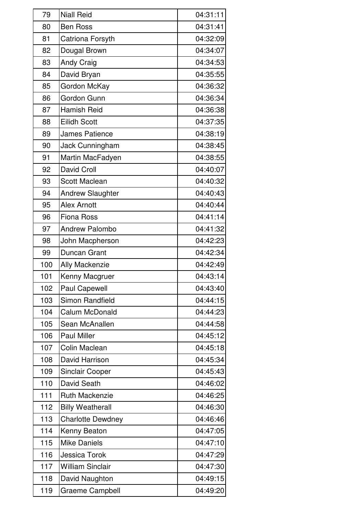| 79  | <b>Niall Reid</b>        | 04:31:11 |
|-----|--------------------------|----------|
| 80  | <b>Ben Ross</b>          | 04:31:41 |
| 81  | Catriona Forsyth         | 04:32:09 |
| 82  | Dougal Brown             | 04:34:07 |
| 83  | <b>Andy Craig</b>        | 04:34:53 |
| 84  | David Bryan              | 04:35:55 |
| 85  | Gordon McKay             | 04:36:32 |
| 86  | Gordon Gunn              | 04:36:34 |
| 87  | <b>Hamish Reid</b>       | 04:36:38 |
| 88  | <b>Eilidh Scott</b>      | 04:37:35 |
| 89  | <b>James Patience</b>    | 04:38:19 |
| 90  | Jack Cunningham          | 04:38:45 |
| 91  | Martin MacFadyen         | 04:38:55 |
| 92  | <b>David Croll</b>       | 04:40:07 |
| 93  | <b>Scott Maclean</b>     | 04:40:32 |
| 94  | <b>Andrew Slaughter</b>  | 04:40:43 |
| 95  | <b>Alex Arnott</b>       | 04:40:44 |
| 96  | <b>Fiona Ross</b>        | 04:41:14 |
| 97  | <b>Andrew Palombo</b>    | 04:41:32 |
| 98  | John Macpherson          | 04:42:23 |
| 99  | Duncan Grant             | 04:42:34 |
| 100 | <b>Ally Mackenzie</b>    | 04:42:49 |
| 101 | Kenny Macgruer           | 04:43:14 |
| 102 | <b>Paul Capewell</b>     | 04:43:40 |
| 103 | Simon Randfield          | 04:44:15 |
| 104 | Calum McDonald           | 04:44:23 |
| 105 | Sean McAnallen           | 04:44:58 |
| 106 | <b>Paul Miller</b>       | 04:45:12 |
| 107 | Colin Maclean            | 04:45:18 |
| 108 | David Harrison           | 04:45:34 |
| 109 | <b>Sinclair Cooper</b>   | 04:45:43 |
| 110 | David Seath              | 04:46:02 |
| 111 | <b>Ruth Mackenzie</b>    | 04:46:25 |
| 112 | <b>Billy Weatherall</b>  | 04:46:30 |
| 113 | <b>Charlotte Dewdney</b> | 04:46:46 |
| 114 | Kenny Beaton             | 04:47:05 |
| 115 | <b>Mike Daniels</b>      | 04:47:10 |
| 116 | Jessica Torok            | 04:47:29 |
| 117 | <b>William Sinclair</b>  | 04:47:30 |
| 118 | David Naughton           | 04:49:15 |
| 119 | <b>Graeme Campbell</b>   | 04:49:20 |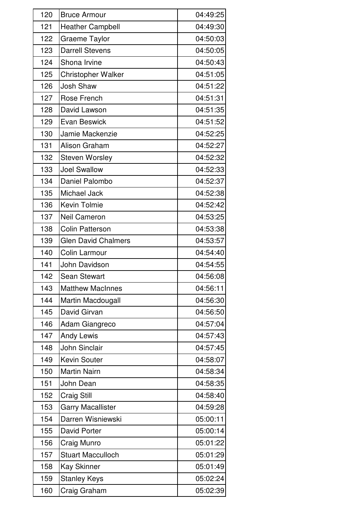| 120 | <b>Bruce Armour</b>        | 04:49:25 |
|-----|----------------------------|----------|
| 121 | <b>Heather Campbell</b>    | 04:49:30 |
| 122 | Graeme Taylor              | 04:50:03 |
| 123 | <b>Darrell Stevens</b>     | 04:50:05 |
| 124 | Shona Irvine               | 04:50:43 |
| 125 | Christopher Walker         | 04:51:05 |
| 126 | <b>Josh Shaw</b>           | 04:51:22 |
| 127 | Rose French                | 04:51:31 |
| 128 | David Lawson               | 04:51:35 |
| 129 | <b>Evan Beswick</b>        | 04:51:52 |
| 130 | Jamie Mackenzie            | 04:52:25 |
| 131 | Alison Graham              | 04:52:27 |
| 132 | <b>Steven Worsley</b>      | 04:52:32 |
| 133 | <b>Joel Swallow</b>        | 04:52:33 |
| 134 | Daniel Palombo             | 04:52:37 |
| 135 | Michael Jack               | 04:52:38 |
| 136 | Kevin Tolmie               | 04:52:42 |
| 137 | <b>Neil Cameron</b>        | 04:53:25 |
| 138 | <b>Colin Patterson</b>     | 04:53:38 |
| 139 | <b>Glen David Chalmers</b> | 04:53:57 |
| 140 | Colin Larmour              | 04:54:40 |
| 141 | John Davidson              | 04:54:55 |
| 142 | <b>Sean Stewart</b>        | 04:56:08 |
| 143 | <b>Matthew MacInnes</b>    | 04:56:11 |
| 144 | Martin Macdougall          | 04:56:30 |
| 145 | David Girvan               | 04:56:50 |
| 146 | Adam Giangreco             | 04:57:04 |
| 147 | <b>Andy Lewis</b>          | 04:57:43 |
| 148 | John Sinclair              | 04:57:45 |
| 149 | <b>Kevin Souter</b>        | 04:58:07 |
| 150 | <b>Martin Nairn</b>        | 04:58:34 |
| 151 | John Dean                  | 04:58:35 |
| 152 | <b>Craig Still</b>         | 04:58:40 |
| 153 | <b>Garry Macallister</b>   | 04:59:28 |
| 154 | Darren Wisniewski          | 05:00:11 |
| 155 | <b>David Porter</b>        | 05:00:14 |
| 156 | Craig Munro                | 05:01:22 |
| 157 | <b>Stuart Macculloch</b>   | 05:01:29 |
| 158 | <b>Kay Skinner</b>         | 05:01:49 |
| 159 | <b>Stanley Keys</b>        | 05:02:24 |
| 160 | Craig Graham               | 05:02:39 |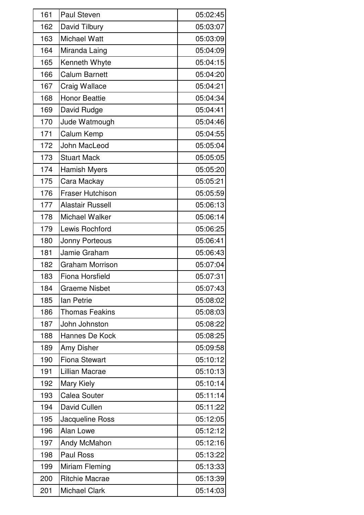| 161 | <b>Paul Steven</b>      | 05:02:45 |
|-----|-------------------------|----------|
| 162 | David Tilbury           | 05:03:07 |
| 163 | <b>Michael Watt</b>     | 05:03:09 |
| 164 | Miranda Laing           | 05:04:09 |
| 165 | Kenneth Whyte           | 05:04:15 |
| 166 | <b>Calum Barnett</b>    | 05:04:20 |
| 167 | <b>Craig Wallace</b>    | 05:04:21 |
| 168 | <b>Honor Beattie</b>    | 05:04:34 |
| 169 | David Rudge             | 05:04:41 |
| 170 | Jude Watmough           | 05:04:46 |
| 171 | Calum Kemp              | 05:04:55 |
| 172 | John MacLeod            | 05:05:04 |
| 173 | <b>Stuart Mack</b>      | 05:05:05 |
| 174 | <b>Hamish Myers</b>     | 05:05:20 |
| 175 | Cara Mackay             | 05:05:21 |
| 176 | <b>Fraser Hutchison</b> | 05:05:59 |
| 177 | <b>Alastair Russell</b> | 05:06:13 |
| 178 | Michael Walker          | 05:06:14 |
| 179 | Lewis Rochford          | 05:06:25 |
| 180 | Jonny Porteous          | 05:06:41 |
| 181 | Jamie Graham            | 05:06:43 |
| 182 | <b>Graham Morrison</b>  | 05:07:04 |
| 183 | <b>Fiona Horsfield</b>  | 05:07:31 |
| 184 | <b>Graeme Nisbet</b>    | 05:07:43 |
| 185 | lan Petrie              | 05:08:02 |
| 186 | <b>Thomas Feakins</b>   | 05:08:03 |
| 187 | John Johnston           | 05:08:22 |
| 188 | Hannes De Kock          | 05:08:25 |
| 189 | Amy Disher              | 05:09:58 |
| 190 | <b>Fiona Stewart</b>    | 05:10:12 |
| 191 | Lillian Macrae          | 05:10:13 |
| 192 | Mary Kiely              | 05:10:14 |
| 193 | <b>Calea Souter</b>     | 05:11:14 |
| 194 | David Cullen            | 05:11:22 |
| 195 | Jacqueline Ross         | 05:12:05 |
| 196 | Alan Lowe               | 05:12:12 |
| 197 | Andy McMahon            | 05:12:16 |
| 198 | <b>Paul Ross</b>        | 05:13:22 |
| 199 | <b>Miriam Fleming</b>   | 05:13:33 |
| 200 | <b>Ritchie Macrae</b>   | 05:13:39 |
| 201 | <b>Michael Clark</b>    | 05:14:03 |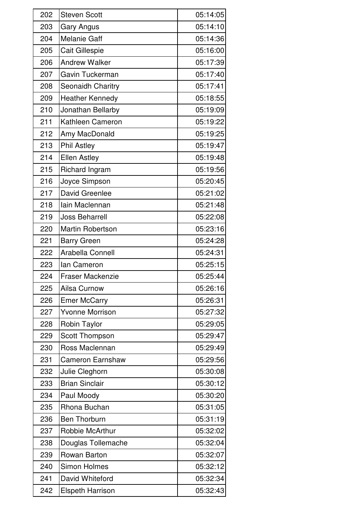| 202 | <b>Steven Scott</b>     | 05:14:05 |
|-----|-------------------------|----------|
| 203 | <b>Gary Angus</b>       | 05:14:10 |
| 204 | <b>Melanie Gaff</b>     | 05:14:36 |
| 205 | <b>Cait Gillespie</b>   | 05:16:00 |
| 206 | <b>Andrew Walker</b>    | 05:17:39 |
| 207 | Gavin Tuckerman         | 05:17:40 |
| 208 | Seonaidh Charitry       | 05:17:41 |
| 209 | <b>Heather Kennedy</b>  | 05:18:55 |
| 210 | Jonathan Bellarby       | 05:19:09 |
| 211 | Kathleen Cameron        | 05:19:22 |
| 212 | Amy MacDonald           | 05:19:25 |
| 213 | <b>Phil Astley</b>      | 05:19:47 |
| 214 | <b>Ellen Astley</b>     | 05:19:48 |
| 215 | Richard Ingram          | 05:19:56 |
| 216 | Joyce Simpson           | 05:20:45 |
| 217 | David Greenlee          | 05:21:02 |
| 218 | lain Maclennan          | 05:21:48 |
| 219 | <b>Joss Beharrell</b>   | 05:22:08 |
| 220 | <b>Martin Robertson</b> | 05:23:16 |
| 221 | <b>Barry Green</b>      | 05:24:28 |
| 222 | Arabella Connell        | 05:24:31 |
| 223 | lan Cameron             | 05:25:15 |
| 224 | <b>Fraser Mackenzie</b> | 05:25:44 |
| 225 | Ailsa Curnow            | 05:26:16 |
| 226 | <b>Emer McCarry</b>     | 05:26:31 |
| 227 | <b>Yvonne Morrison</b>  | 05:27:32 |
| 228 | <b>Robin Taylor</b>     | 05:29:05 |
| 229 | Scott Thompson          | 05:29:47 |
| 230 | Ross Maclennan          | 05:29:49 |
| 231 | <b>Cameron Earnshaw</b> | 05:29:56 |
| 232 | Julie Cleghorn          | 05:30:08 |
| 233 | <b>Brian Sinclair</b>   | 05:30:12 |
| 234 | Paul Moody              | 05:30:20 |
| 235 | Rhona Buchan            | 05:31:05 |
| 236 | <b>Ben Thorburn</b>     | 05:31:19 |
| 237 | Robbie McArthur         | 05:32:02 |
| 238 | Douglas Tollemache      | 05:32:04 |
| 239 | Rowan Barton            | 05:32:07 |
| 240 | <b>Simon Holmes</b>     | 05:32:12 |
| 241 | David Whiteford         | 05:32:34 |
| 242 | <b>Elspeth Harrison</b> | 05:32:43 |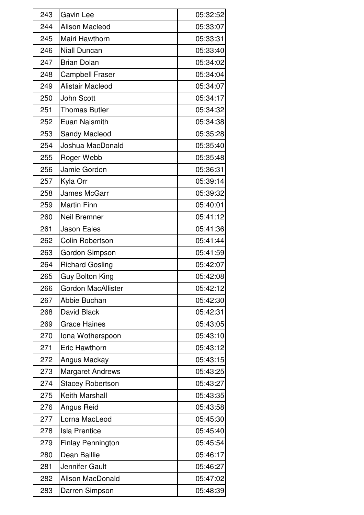| 243 | <b>Gavin Lee</b>          | 05:32:52 |
|-----|---------------------------|----------|
| 244 | <b>Alison Macleod</b>     | 05:33:07 |
| 245 | Mairi Hawthorn            | 05:33:31 |
| 246 | <b>Niall Duncan</b>       | 05:33:40 |
| 247 | <b>Brian Dolan</b>        | 05:34:02 |
| 248 | <b>Campbell Fraser</b>    | 05:34:04 |
| 249 | Alistair Macleod          | 05:34:07 |
| 250 | <b>John Scott</b>         | 05:34:17 |
| 251 | <b>Thomas Butler</b>      | 05:34:32 |
| 252 | <b>Euan Naismith</b>      | 05:34:38 |
| 253 | <b>Sandy Macleod</b>      | 05:35:28 |
| 254 | Joshua MacDonald          | 05:35:40 |
| 255 | Roger Webb                | 05:35:48 |
| 256 | Jamie Gordon              | 05:36:31 |
| 257 | Kyla Orr                  | 05:39:14 |
| 258 | <b>James McGarr</b>       | 05:39:32 |
| 259 | <b>Martin Finn</b>        | 05:40:01 |
| 260 | <b>Neil Bremner</b>       | 05:41:12 |
| 261 | <b>Jason Eales</b>        | 05:41:36 |
| 262 | <b>Colin Robertson</b>    | 05:41:44 |
| 263 | Gordon Simpson            | 05:41:59 |
| 264 | <b>Richard Gosling</b>    | 05:42:07 |
| 265 | <b>Guy Bolton King</b>    | 05:42:08 |
| 266 | <b>Gordon MacAllister</b> | 05:42:12 |
| 267 | Abbie Buchan              | 05:42:30 |
| 268 | David Black               | 05:42:31 |
| 269 | <b>Grace Haines</b>       | 05:43:05 |
| 270 | Iona Wotherspoon          | 05:43:10 |
| 271 | <b>Eric Hawthorn</b>      | 05:43:12 |
| 272 | Angus Mackay              | 05:43:15 |
| 273 | <b>Margaret Andrews</b>   | 05:43:25 |
| 274 | <b>Stacey Robertson</b>   | 05:43:27 |
| 275 | <b>Keith Marshall</b>     | 05:43:35 |
| 276 | Angus Reid                | 05:43:58 |
| 277 | Lorna MacLeod             | 05:45:30 |
| 278 | <b>Isla Prentice</b>      | 05:45:40 |
| 279 | <b>Finlay Pennington</b>  | 05:45:54 |
| 280 | Dean Baillie              | 05:46:17 |
| 281 | Jennifer Gault            | 05:46:27 |
| 282 | <b>Alison MacDonald</b>   | 05:47:02 |
| 283 | Darren Simpson            | 05:48:39 |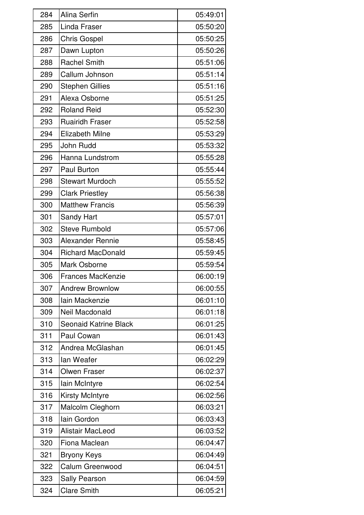| 284 | Alina Serfin                 | 05:49:01 |
|-----|------------------------------|----------|
| 285 | Linda Fraser                 | 05:50:20 |
| 286 | <b>Chris Gospel</b>          | 05:50:25 |
| 287 | Dawn Lupton                  | 05:50:26 |
| 288 | <b>Rachel Smith</b>          | 05:51:06 |
| 289 | Callum Johnson               | 05:51:14 |
| 290 | <b>Stephen Gillies</b>       | 05:51:16 |
| 291 | Alexa Osborne                | 05:51:25 |
| 292 | <b>Roland Reid</b>           | 05:52:30 |
| 293 | <b>Ruairidh Fraser</b>       | 05:52:58 |
| 294 | <b>Elizabeth Milne</b>       | 05:53:29 |
| 295 | John Rudd                    | 05:53:32 |
| 296 | Hanna Lundstrom              | 05:55:28 |
| 297 | <b>Paul Burton</b>           | 05:55:44 |
| 298 | <b>Stewart Murdoch</b>       | 05:55:52 |
| 299 | <b>Clark Priestley</b>       | 05:56:38 |
| 300 | <b>Matthew Francis</b>       | 05:56:39 |
| 301 | Sandy Hart                   | 05:57:01 |
| 302 | <b>Steve Rumbold</b>         | 05:57:06 |
| 303 | <b>Alexander Rennie</b>      | 05:58:45 |
| 304 | <b>Richard MacDonald</b>     | 05:59:45 |
| 305 | Mark Osborne                 | 05:59:54 |
| 306 | <b>Frances MacKenzie</b>     | 06:00:19 |
| 307 | <b>Andrew Brownlow</b>       | 06:00:55 |
| 308 | Iain Mackenzie               | 06:01:10 |
| 309 | Neil Macdonald               | 06:01:18 |
| 310 | <b>Seonaid Katrine Black</b> | 06:01:25 |
| 311 | Paul Cowan                   | 06:01:43 |
| 312 | Andrea McGlashan             | 06:01:45 |
| 313 | lan Weafer                   | 06:02:29 |
| 314 | <b>Olwen Fraser</b>          | 06:02:37 |
| 315 | lain McIntyre                | 06:02:54 |
| 316 | <b>Kirsty McIntyre</b>       | 06:02:56 |
| 317 | Malcolm Cleghorn             | 06:03:21 |
| 318 | lain Gordon                  | 06:03:43 |
| 319 | Alistair MacLeod             | 06:03:52 |
| 320 | Fiona Maclean                | 06:04:47 |
| 321 | <b>Bryony Keys</b>           | 06:04:49 |
| 322 | Calum Greenwood              | 06:04:51 |
| 323 | Sally Pearson                | 06:04:59 |
| 324 | <b>Clare Smith</b>           | 06:05:21 |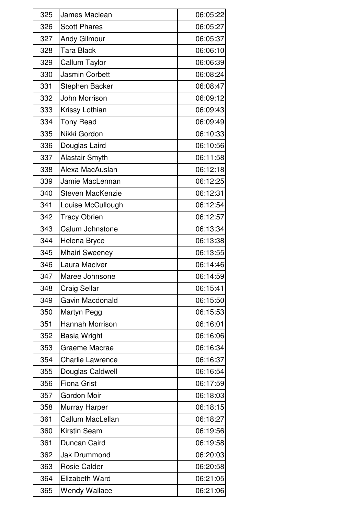| 325 | James Maclean           | 06:05:22 |
|-----|-------------------------|----------|
| 326 | <b>Scott Phares</b>     | 06:05:27 |
| 327 | <b>Andy Gilmour</b>     | 06:05:37 |
| 328 | <b>Tara Black</b>       | 06:06:10 |
| 329 | Callum Taylor           | 06:06:39 |
| 330 | <b>Jasmin Corbett</b>   | 06:08:24 |
| 331 | <b>Stephen Backer</b>   | 06:08:47 |
| 332 | John Morrison           | 06:09:12 |
| 333 | Krissy Lothian          | 06:09:43 |
| 334 | <b>Tony Read</b>        | 06:09:49 |
| 335 | Nikki Gordon            | 06:10:33 |
| 336 | Douglas Laird           | 06:10:56 |
| 337 | <b>Alastair Smyth</b>   | 06:11:58 |
| 338 | Alexa MacAuslan         | 06:12:18 |
| 339 | Jamie MacLennan         | 06:12:25 |
| 340 | <b>Steven MacKenzie</b> | 06:12:31 |
| 341 | Louise McCullough       | 06:12:54 |
| 342 | <b>Tracy Obrien</b>     | 06:12:57 |
| 343 | Calum Johnstone         | 06:13:34 |
| 344 | Helena Bryce            | 06:13:38 |
| 345 | <b>Mhairi Sweeney</b>   | 06:13:55 |
| 346 | Laura Maciver           | 06:14:46 |
| 347 | Maree Johnsone          | 06:14:59 |
| 348 | <b>Craig Sellar</b>     | 06:15:41 |
| 349 | Gavin Macdonald         | 06:15:50 |
| 350 | Martyn Pegg             | 06:15:53 |
| 351 | <b>Hannah Morrison</b>  | 06:16:01 |
| 352 | Basia Wright            | 06:16:06 |
| 353 | Graeme Macrae           | 06:16:34 |
| 354 | <b>Charlie Lawrence</b> | 06:16:37 |
| 355 | Douglas Caldwell        | 06:16:54 |
| 356 | <b>Fiona Grist</b>      | 06:17:59 |
| 357 | Gordon Moir             | 06:18:03 |
| 358 | Murray Harper           | 06:18:15 |
| 361 | <b>Callum MacLellan</b> | 06:18:27 |
| 360 | <b>Kirstin Seam</b>     | 06:19:56 |
| 361 | Duncan Caird            | 06:19:58 |
| 362 | <b>Jak Drummond</b>     | 06:20:03 |
| 363 | <b>Rosie Calder</b>     | 06:20:58 |
| 364 | <b>Elizabeth Ward</b>   | 06:21:05 |
| 365 | <b>Wendy Wallace</b>    | 06:21:06 |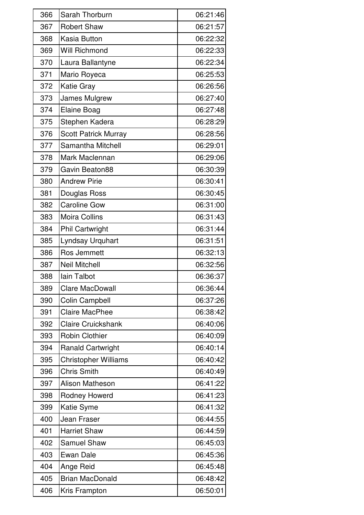| 366 | Sarah Thorburn              | 06:21:46 |
|-----|-----------------------------|----------|
| 367 | <b>Robert Shaw</b>          | 06:21:57 |
| 368 | Kasia Button                | 06:22:32 |
| 369 | <b>Will Richmond</b>        | 06:22:33 |
| 370 | Laura Ballantyne            | 06:22:34 |
| 371 | Mario Royeca                | 06:25:53 |
| 372 | <b>Katie Gray</b>           | 06:26:56 |
| 373 | James Mulgrew               | 06:27:40 |
| 374 | <b>Elaine Boag</b>          | 06:27:48 |
| 375 | Stephen Kadera              | 06:28:29 |
| 376 | <b>Scott Patrick Murray</b> | 06:28:56 |
| 377 | <b>Samantha Mitchell</b>    | 06:29:01 |
| 378 | Mark Maclennan              | 06:29:06 |
| 379 | Gavin Beaton88              | 06:30:39 |
| 380 | <b>Andrew Pirie</b>         | 06:30:41 |
| 381 | Douglas Ross                | 06:30:45 |
| 382 | <b>Caroline Gow</b>         | 06:31:00 |
| 383 | <b>Moira Collins</b>        | 06:31:43 |
| 384 | <b>Phil Cartwright</b>      | 06:31:44 |
| 385 | Lyndsay Urquhart            | 06:31:51 |
| 386 | Ros Jemmett                 | 06:32:13 |
| 387 | <b>Neil Mitchell</b>        | 06:32:56 |
| 388 | lain Talbot                 | 06:36:37 |
| 389 | <b>Clare MacDowall</b>      | 06:36:44 |
| 390 | Colin Campbell              | 06:37:26 |
| 391 | <b>Claire MacPhee</b>       | 06:38:42 |
| 392 | <b>Claire Cruickshank</b>   | 06:40:06 |
| 393 | <b>Robin Clothier</b>       | 06:40:09 |
| 394 | <b>Ranald Cartwright</b>    | 06:40:14 |
| 395 | <b>Christopher Williams</b> | 06:40:42 |
| 396 | <b>Chris Smith</b>          | 06:40:49 |
| 397 | <b>Alison Matheson</b>      | 06:41:22 |
| 398 | Rodney Howerd               | 06:41:23 |
| 399 | <b>Katie Syme</b>           | 06:41:32 |
| 400 | Jean Fraser                 | 06:44:55 |
| 401 | <b>Harriet Shaw</b>         | 06:44:59 |
| 402 | <b>Samuel Shaw</b>          | 06:45:03 |
| 403 | Ewan Dale                   | 06:45:36 |
| 404 | Ange Reid                   | 06:45:48 |
| 405 | <b>Brian MacDonald</b>      | 06:48:42 |
| 406 | Kris Frampton               | 06:50:01 |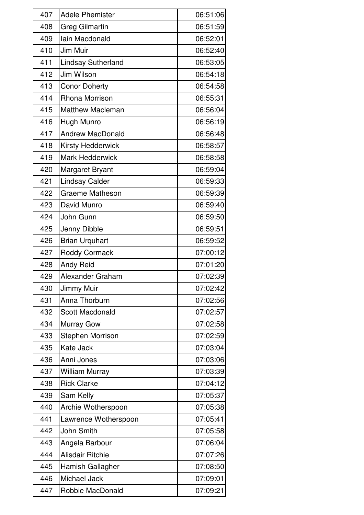| 407 | <b>Adele Phemister</b>    | 06:51:06 |
|-----|---------------------------|----------|
| 408 | <b>Greg Gilmartin</b>     | 06:51:59 |
| 409 | Iain Macdonald            | 06:52:01 |
| 410 | Jim Muir                  | 06:52:40 |
| 411 | <b>Lindsay Sutherland</b> | 06:53:05 |
| 412 | Jim Wilson                | 06:54:18 |
| 413 | <b>Conor Doherty</b>      | 06:54:58 |
| 414 | <b>Rhona Morrison</b>     | 06:55:31 |
| 415 | <b>Matthew Macleman</b>   | 06:56:04 |
| 416 | Hugh Munro                | 06:56:19 |
| 417 | <b>Andrew MacDonald</b>   | 06:56:48 |
| 418 | <b>Kirsty Hedderwick</b>  | 06:58:57 |
| 419 | <b>Mark Hedderwick</b>    | 06:58:58 |
| 420 | Margaret Bryant           | 06:59:04 |
| 421 | <b>Lindsay Calder</b>     | 06:59:33 |
| 422 | <b>Graeme Matheson</b>    | 06:59:39 |
| 423 | David Munro               | 06:59:40 |
| 424 | John Gunn                 | 06:59:50 |
| 425 | Jenny Dibble              | 06:59:51 |
| 426 | <b>Brian Urquhart</b>     | 06:59:52 |
| 427 | Roddy Cormack             | 07:00:12 |
| 428 | <b>Andy Reid</b>          | 07:01:20 |
| 429 | Alexander Graham          | 07:02:39 |
| 430 | Jimmy Muir                | 07:02:42 |
| 431 | Anna Thorburn             | 07:02:56 |
| 432 | Scott Macdonald           | 07:02:57 |
| 434 | <b>Murray Gow</b>         | 07:02:58 |
| 433 | <b>Stephen Morrison</b>   | 07:02:59 |
| 435 | Kate Jack                 | 07:03:04 |
| 436 | Anni Jones                | 07:03:06 |
| 437 | <b>William Murray</b>     | 07:03:39 |
| 438 | <b>Rick Clarke</b>        | 07:04:12 |
| 439 | Sam Kelly                 | 07:05:37 |
| 440 | Archie Wotherspoon        | 07:05:38 |
| 441 | Lawrence Wotherspoon      | 07:05:41 |
| 442 | <b>John Smith</b>         | 07:05:58 |
| 443 | Angela Barbour            | 07:06:04 |
| 444 | <b>Alisdair Ritchie</b>   | 07:07:26 |
| 445 | Hamish Gallagher          | 07:08:50 |
| 446 | Michael Jack              | 07:09:01 |
| 447 | Robbie MacDonald          | 07:09:21 |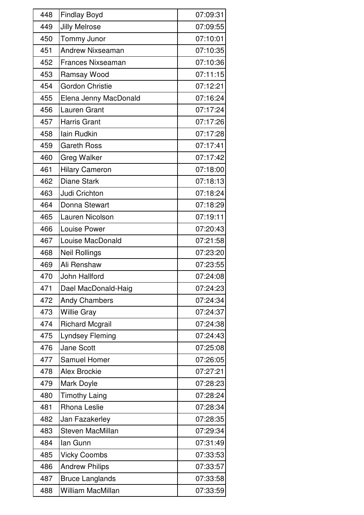| 448 | <b>Findlay Boyd</b>      | 07:09:31 |
|-----|--------------------------|----------|
| 449 | <b>Jilly Melrose</b>     | 07:09:55 |
| 450 | Tommy Junor              | 07:10:01 |
| 451 | <b>Andrew Nixseaman</b>  | 07:10:35 |
| 452 | <b>Frances Nixseaman</b> | 07:10:36 |
| 453 | Ramsay Wood              | 07:11:15 |
| 454 | <b>Gordon Christie</b>   | 07:12:21 |
| 455 | Elena Jenny MacDonald    | 07:16:24 |
| 456 | <b>Lauren Grant</b>      | 07:17:24 |
| 457 | <b>Harris Grant</b>      | 07:17:26 |
| 458 | <b>lain Rudkin</b>       | 07:17:28 |
| 459 | <b>Gareth Ross</b>       | 07:17:41 |
| 460 | <b>Greg Walker</b>       | 07:17:42 |
| 461 | <b>Hilary Cameron</b>    | 07:18:00 |
| 462 | <b>Diane Stark</b>       | 07:18:13 |
| 463 | Judi Crichton            | 07:18:24 |
| 464 | Donna Stewart            | 07:18:29 |
| 465 | Lauren Nicolson          | 07:19:11 |
| 466 | Louise Power             | 07:20:43 |
| 467 | Louise MacDonald         | 07:21:58 |
| 468 | <b>Neil Rollings</b>     | 07:23:20 |
| 469 | Ali Renshaw              | 07:23:55 |
| 470 | John Hallford            | 07:24:08 |
| 471 | Dael MacDonald-Haig      | 07:24:23 |
| 472 | <b>Andy Chambers</b>     | 07:24:34 |
| 473 | <b>Willie Gray</b>       | 07:24:37 |
| 474 | <b>Richard Mcgrail</b>   | 07:24:38 |
| 475 | <b>Lyndsey Fleming</b>   | 07:24:43 |
| 476 | <b>Jane Scott</b>        | 07:25:08 |
| 477 | <b>Samuel Homer</b>      | 07:26:05 |
| 478 | <b>Alex Brockie</b>      | 07:27:21 |
| 479 | Mark Doyle               | 07:28:23 |
| 480 | <b>Timothy Laing</b>     | 07:28:24 |
| 481 | <b>Rhona Leslie</b>      | 07:28:34 |
| 482 | Jan Fazakerley           | 07:28:35 |
| 483 | <b>Steven MacMillan</b>  | 07:29:34 |
| 484 | lan Gunn                 | 07:31:49 |
| 485 | <b>Vicky Coombs</b>      | 07:33:53 |
| 486 | <b>Andrew Philips</b>    | 07:33:57 |
| 487 | <b>Bruce Langlands</b>   | 07:33:58 |
| 488 | <b>William MacMillan</b> | 07:33:59 |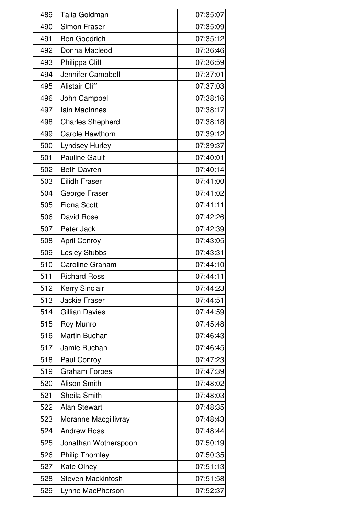| 489 | <b>Talia Goldman</b>     | 07:35:07 |
|-----|--------------------------|----------|
| 490 | <b>Simon Fraser</b>      | 07:35:09 |
| 491 | <b>Ben Goodrich</b>      | 07:35:12 |
| 492 | Donna Macleod            | 07:36:46 |
| 493 | Philippa Cliff           | 07:36:59 |
| 494 | Jennifer Campbell        | 07:37:01 |
| 495 | <b>Alistair Cliff</b>    | 07:37:03 |
| 496 | John Campbell            | 07:38:16 |
| 497 | Iain MacInnes            | 07:38:17 |
| 498 | <b>Charles Shepherd</b>  | 07:38:18 |
| 499 | <b>Carole Hawthorn</b>   | 07:39:12 |
| 500 | <b>Lyndsey Hurley</b>    | 07:39:37 |
| 501 | <b>Pauline Gault</b>     | 07:40:01 |
| 502 | <b>Beth Davren</b>       | 07:40:14 |
| 503 | <b>Eilidh Fraser</b>     | 07:41:00 |
| 504 | George Fraser            | 07:41:02 |
| 505 | <b>Fiona Scott</b>       | 07:41:11 |
| 506 | David Rose               | 07:42:26 |
| 507 | Peter Jack               | 07:42:39 |
| 508 | <b>April Conroy</b>      | 07:43:05 |
| 509 | Lesley Stubbs            | 07:43:31 |
| 510 | <b>Caroline Graham</b>   | 07:44:10 |
| 511 | <b>Richard Ross</b>      | 07:44:11 |
| 512 | <b>Kerry Sinclair</b>    | 07:44:23 |
| 513 | <b>Jackie Fraser</b>     | 07:44:51 |
| 514 | <b>Gillian Davies</b>    | 07:44:59 |
| 515 | <b>Roy Munro</b>         | 07:45:48 |
| 516 | <b>Martin Buchan</b>     | 07:46:43 |
| 517 | Jamie Buchan             | 07:46:45 |
| 518 | Paul Conroy              | 07:47:23 |
| 519 | <b>Graham Forbes</b>     | 07:47:39 |
| 520 | <b>Alison Smith</b>      | 07:48:02 |
| 521 | <b>Sheila Smith</b>      | 07:48:03 |
| 522 | <b>Alan Stewart</b>      | 07:48:35 |
| 523 | Moranne Macgillivray     | 07:48:43 |
| 524 | <b>Andrew Ross</b>       | 07:48:44 |
| 525 | Jonathan Wotherspoon     | 07:50:19 |
| 526 | <b>Philip Thornley</b>   | 07:50:35 |
| 527 | <b>Kate Olney</b>        | 07:51:13 |
| 528 | <b>Steven Mackintosh</b> | 07:51:58 |
| 529 | Lynne MacPherson         | 07:52:37 |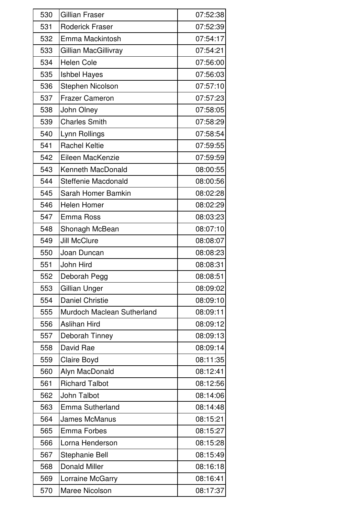| 530 | <b>Gillian Fraser</b>      | 07:52:38 |
|-----|----------------------------|----------|
| 531 | <b>Roderick Fraser</b>     | 07:52:39 |
| 532 | Emma Mackintosh            | 07:54:17 |
| 533 | Gillian MacGillivray       | 07:54:21 |
| 534 | <b>Helen Cole</b>          | 07:56:00 |
| 535 | <b>Ishbel Hayes</b>        | 07:56:03 |
| 536 | Stephen Nicolson           | 07:57:10 |
| 537 | <b>Frazer Cameron</b>      | 07:57:23 |
| 538 | John Olney                 | 07:58:05 |
| 539 | <b>Charles Smith</b>       | 07:58:29 |
| 540 | Lynn Rollings              | 07:58:54 |
| 541 | <b>Rachel Keltie</b>       | 07:59:55 |
| 542 | Eileen MacKenzie           | 07:59:59 |
| 543 | Kenneth MacDonald          | 08:00:55 |
| 544 | Steffenie Macdonald        | 08:00:56 |
| 545 | Sarah Homer Bamkin         | 08:02:28 |
| 546 | <b>Helen Homer</b>         | 08:02:29 |
| 547 | <b>Emma Ross</b>           | 08:03:23 |
| 548 | Shonagh McBean             | 08:07:10 |
| 549 | <b>Jill McClure</b>        | 08:08:07 |
| 550 | Joan Duncan                | 08:08:23 |
| 551 | John Hird                  | 08:08:31 |
| 552 | Deborah Pegg               | 08:08:51 |
| 553 | Gillian Unger              | 08:09:02 |
| 554 | <b>Daniel Christie</b>     | 08:09:10 |
| 555 | Murdoch Maclean Sutherland | 08:09:11 |
| 556 | <b>Aslihan Hird</b>        | 08:09:12 |
| 557 | Deborah Tinney             | 08:09:13 |
| 558 | David Rae                  | 08:09:14 |
| 559 | Claire Boyd                | 08:11:35 |
| 560 | Alyn MacDonald             | 08:12:41 |
| 561 | <b>Richard Talbot</b>      | 08:12:56 |
| 562 | John Talbot                | 08:14:06 |
| 563 | Emma Sutherland            | 08:14:48 |
| 564 | <b>James McManus</b>       | 08:15:21 |
| 565 | <b>Emma Forbes</b>         | 08:15:27 |
| 566 | Lorna Henderson            | 08:15:28 |
| 567 | <b>Stephanie Bell</b>      | 08:15:49 |
| 568 | <b>Donald Miller</b>       | 08:16:18 |
| 569 | Lorraine McGarry           | 08:16:41 |
| 570 | Maree Nicolson             | 08:17:37 |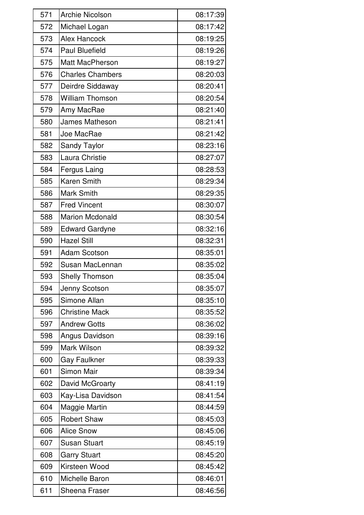| 571 | <b>Archie Nicolson</b>  | 08:17:39 |
|-----|-------------------------|----------|
| 572 | Michael Logan           | 08:17:42 |
| 573 | <b>Alex Hancock</b>     | 08:19:25 |
| 574 | <b>Paul Bluefield</b>   | 08:19:26 |
| 575 | <b>Matt MacPherson</b>  | 08:19:27 |
| 576 | <b>Charles Chambers</b> | 08:20:03 |
| 577 | Deirdre Siddaway        | 08:20:41 |
| 578 | <b>William Thomson</b>  | 08:20:54 |
| 579 | Amy MacRae              | 08:21:40 |
| 580 | James Matheson          | 08:21:41 |
| 581 | Joe MacRae              | 08:21:42 |
| 582 | <b>Sandy Taylor</b>     | 08:23:16 |
| 583 | Laura Christie          | 08:27:07 |
| 584 | <b>Fergus Laing</b>     | 08:28:53 |
| 585 | <b>Karen Smith</b>      | 08:29:34 |
| 586 | <b>Mark Smith</b>       | 08:29:35 |
| 587 | <b>Fred Vincent</b>     | 08:30:07 |
| 588 | <b>Marion Mcdonald</b>  | 08:30:54 |
| 589 | <b>Edward Gardyne</b>   | 08:32:16 |
| 590 | <b>Hazel Still</b>      | 08:32:31 |
| 591 | <b>Adam Scotson</b>     | 08:35:01 |
| 592 | Susan MacLennan         | 08:35:02 |
| 593 | <b>Shelly Thomson</b>   | 08:35:04 |
| 594 | Jenny Scotson           | 08:35:07 |
| 595 | Simone Allan            | 08:35:10 |
| 596 | <b>Christine Mack</b>   | 08:35:52 |
| 597 | <b>Andrew Gotts</b>     | 08:36:02 |
| 598 | Angus Davidson          | 08:39:16 |
| 599 | Mark Wilson             | 08:39:32 |
| 600 | <b>Gay Faulkner</b>     | 08:39:33 |
| 601 | Simon Mair              | 08:39:34 |
| 602 | David McGroarty         | 08:41:19 |
| 603 | Kay-Lisa Davidson       | 08:41:54 |
| 604 | Maggie Martin           | 08:44:59 |
| 605 | <b>Robert Shaw</b>      | 08:45:03 |
| 606 | <b>Alice Snow</b>       | 08:45:06 |
| 607 | <b>Susan Stuart</b>     | 08:45:19 |
| 608 | <b>Garry Stuart</b>     | 08:45:20 |
| 609 | Kirsteen Wood           | 08:45:42 |
| 610 | Michelle Baron          | 08:46:01 |
| 611 | Sheena Fraser           | 08:46:56 |